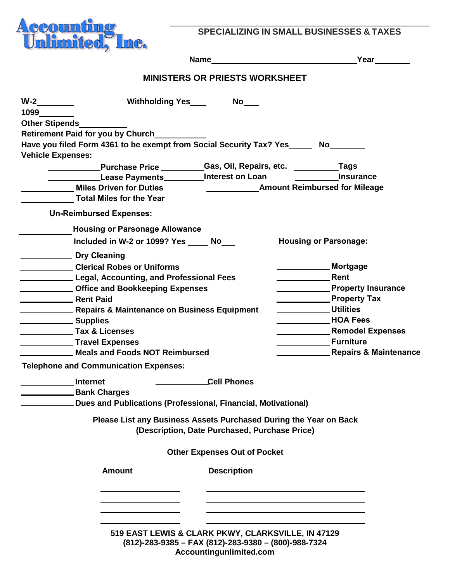

**SPECIALIZING IN SMALL BUSINESSES & TAXES**

|                                   |                                                                                                                                                                                                                                                                                                                                                                                                                                                                                                                                                                                     | Name Latin Contract Contract Contract Contract Contract Contract Contract Contract Contract Contract Contract Contract Contract Contract Contract Contract Contract Contract Contract Contract Contract Contract Contract Cont | Year________                                                                                                                                                                                                                                                                                                                                                       |
|-----------------------------------|-------------------------------------------------------------------------------------------------------------------------------------------------------------------------------------------------------------------------------------------------------------------------------------------------------------------------------------------------------------------------------------------------------------------------------------------------------------------------------------------------------------------------------------------------------------------------------------|--------------------------------------------------------------------------------------------------------------------------------------------------------------------------------------------------------------------------------|--------------------------------------------------------------------------------------------------------------------------------------------------------------------------------------------------------------------------------------------------------------------------------------------------------------------------------------------------------------------|
|                                   |                                                                                                                                                                                                                                                                                                                                                                                                                                                                                                                                                                                     | <b>MINISTERS OR PRIESTS WORKSHEET</b>                                                                                                                                                                                          |                                                                                                                                                                                                                                                                                                                                                                    |
| 1099 100<br><b>Other Stipends</b> |                                                                                                                                                                                                                                                                                                                                                                                                                                                                                                                                                                                     |                                                                                                                                                                                                                                |                                                                                                                                                                                                                                                                                                                                                                    |
| <b>Vehicle Expenses:</b>          | <b>Retirement Paid for you by Church</b>                                                                                                                                                                                                                                                                                                                                                                                                                                                                                                                                            | Have you filed Form 4361 to be exempt from Social Security Tax? Yes______ No_____                                                                                                                                              |                                                                                                                                                                                                                                                                                                                                                                    |
|                                   | Miles Driven for Duties<br>Total Miles for the Year                                                                                                                                                                                                                                                                                                                                                                                                                                                                                                                                 | <b>Example 20 Lease Payments</b> Payments <b>Manufact Contract Contract Payments</b> Payments And Person Loan                                                                                                                  | <b>Amount Reimbursed for Mileage</b>                                                                                                                                                                                                                                                                                                                               |
|                                   | <b>Un-Reimbursed Expenses:</b>                                                                                                                                                                                                                                                                                                                                                                                                                                                                                                                                                      |                                                                                                                                                                                                                                |                                                                                                                                                                                                                                                                                                                                                                    |
|                                   | <b>Housing or Parsonage Allowance</b><br>Included in W-2 or 1099? Yes ______ No____                                                                                                                                                                                                                                                                                                                                                                                                                                                                                                 |                                                                                                                                                                                                                                | <b>Housing or Parsonage:</b>                                                                                                                                                                                                                                                                                                                                       |
|                                   | Dry Cleaning<br>Clerical Robes or Uniforms<br>Legal, Accounting, and Professional Fees<br><b>CHECKING COMMON SEXTION CONSUMING COMMON CONSUMING CONSUMING CONSUMING CONSUMING CONSUMING CONSUMING CONSUMING CONSUMING CONSUMING CONSUMING CONSUMING CONSUMING CONSUMING CONSUMING CONSUMING CONSUMING CONSUMING CONSUMING </b><br><b>Next Paid</b> Rent Paid<br><b>EXAMPLE 2018 Repairs &amp; Maintenance on Business Equipment</b><br>Supplies<br>Tax & Licenses<br><b>No. 7 Travel Expenses</b><br>Meals and Foods NOT Reimbursed<br><b>Telephone and Communication Expenses:</b> |                                                                                                                                                                                                                                | Mortgage<br>Rent<br><b>Example 2 Property Insurance</b><br><b>Example 21 Property Tax</b><br><u>____________</u> Utilities<br><b>NOA Fees</b><br><b>Nemodel Expenses</b> Remodel Expenses<br><b>Notainal Server Contract Contract Contract Contract Contract Contract Contract Contract Contract Contract Control</b><br><b>EXECUTE: Repairs &amp; Maintenance</b> |
|                                   | Internet<br><b>Example 1</b> Bank Charges                                                                                                                                                                                                                                                                                                                                                                                                                                                                                                                                           | <b>Cell Phones</b><br>Dues and Publications (Professional, Financial, Motivational)                                                                                                                                            |                                                                                                                                                                                                                                                                                                                                                                    |
|                                   |                                                                                                                                                                                                                                                                                                                                                                                                                                                                                                                                                                                     | Please List any Business Assets Purchased During the Year on Back<br>(Description, Date Purchased, Purchase Price)                                                                                                             |                                                                                                                                                                                                                                                                                                                                                                    |
|                                   |                                                                                                                                                                                                                                                                                                                                                                                                                                                                                                                                                                                     | <b>Other Expenses Out of Pocket</b>                                                                                                                                                                                            |                                                                                                                                                                                                                                                                                                                                                                    |
|                                   | <b>Amount</b>                                                                                                                                                                                                                                                                                                                                                                                                                                                                                                                                                                       | <b>Description</b>                                                                                                                                                                                                             |                                                                                                                                                                                                                                                                                                                                                                    |
|                                   |                                                                                                                                                                                                                                                                                                                                                                                                                                                                                                                                                                                     |                                                                                                                                                                                                                                |                                                                                                                                                                                                                                                                                                                                                                    |
|                                   |                                                                                                                                                                                                                                                                                                                                                                                                                                                                                                                                                                                     | 519 EAST LEWIS & CLARK PKWY, CLARKSVILLE, IN 47129<br>(812)-283-9385 - FAX (812)-283-9380 - (800)-988-7324                                                                                                                     |                                                                                                                                                                                                                                                                                                                                                                    |

**Accountingunlimited.com**